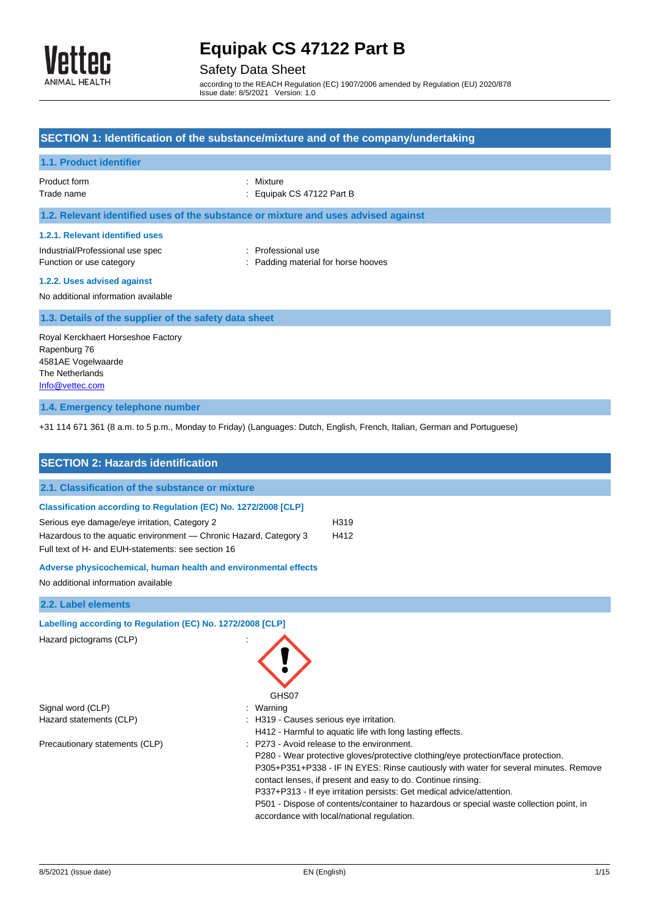

## Safety Data Sheet

according to the REACH Regulation (EC) 1907/2006 amended by Regulation (EU) 2020/878 Issue date: 8/5/2021 Version: 1.0

| SECTION 1: Identification of the substance/mixture and of the company/undertaking                                                                                                        |                                                                                                                                                                                                                         |  |  |
|------------------------------------------------------------------------------------------------------------------------------------------------------------------------------------------|-------------------------------------------------------------------------------------------------------------------------------------------------------------------------------------------------------------------------|--|--|
| 1.1. Product identifier                                                                                                                                                                  |                                                                                                                                                                                                                         |  |  |
| Product form<br>Trade name                                                                                                                                                               | Mixture<br>Equipak CS 47122 Part B                                                                                                                                                                                      |  |  |
|                                                                                                                                                                                          | 1.2. Relevant identified uses of the substance or mixture and uses advised against                                                                                                                                      |  |  |
| 1.2.1. Relevant identified uses                                                                                                                                                          |                                                                                                                                                                                                                         |  |  |
| Industrial/Professional use spec<br>Function or use category                                                                                                                             | : Professional use<br>Padding material for horse hooves                                                                                                                                                                 |  |  |
| 1.2.2. Uses advised against<br>No additional information available                                                                                                                       |                                                                                                                                                                                                                         |  |  |
| 1.3. Details of the supplier of the safety data sheet                                                                                                                                    |                                                                                                                                                                                                                         |  |  |
| Royal Kerckhaert Horseshoe Factory<br>Rapenburg 76<br>4581AE Vogelwaarde<br>The Netherlands<br>Info@vettec.com                                                                           |                                                                                                                                                                                                                         |  |  |
| 1.4. Emergency telephone number                                                                                                                                                          |                                                                                                                                                                                                                         |  |  |
| +31 114 671 361 (8 a.m. to 5 p.m., Monday to Friday) (Languages: Dutch, English, French, Italian, German and Portuguese)                                                                 |                                                                                                                                                                                                                         |  |  |
| <b>SECTION 2: Hazards identification</b>                                                                                                                                                 |                                                                                                                                                                                                                         |  |  |
| 2.1. Classification of the substance or mixture                                                                                                                                          |                                                                                                                                                                                                                         |  |  |
| Classification according to Regulation (EC) No. 1272/2008 [CLP]                                                                                                                          |                                                                                                                                                                                                                         |  |  |
| Serious eye damage/eye irritation, Category 2<br>H319<br>Hazardous to the aquatic environment - Chronic Hazard, Category 3<br>H412<br>Full text of H- and EUH-statements: see section 16 |                                                                                                                                                                                                                         |  |  |
| Adverse physicochemical, human health and environmental effects<br>No additional information available                                                                                   |                                                                                                                                                                                                                         |  |  |
| 2.2. Label elements                                                                                                                                                                      |                                                                                                                                                                                                                         |  |  |
| Labelling according to Regulation (EC) No. 1272/2008 [CLP]<br>Hazard pictograms (CLP)                                                                                                    | GHS07                                                                                                                                                                                                                   |  |  |
| Signal word (CLP)                                                                                                                                                                        | : Warning                                                                                                                                                                                                               |  |  |
| Hazard statements (CLP)                                                                                                                                                                  | H319 - Causes serious eye irritation.<br>H412 - Harmful to aquatic life with long lasting effects.                                                                                                                      |  |  |
| Precautionary statements (CLP)                                                                                                                                                           | : P273 - Avoid release to the environment.<br>P280 - Wear protective gloves/protective clothing/eye protection/face protection.<br>P305+P351+P338 - IF IN EYES: Rinse cautiously with water for several minutes. Remove |  |  |

accordance with local/national regulation.

contact lenses, if present and easy to do. Continue rinsing. P337+P313 - If eye irritation persists: Get medical advice/attention.

P501 - Dispose of contents/container to hazardous or special waste collection point, in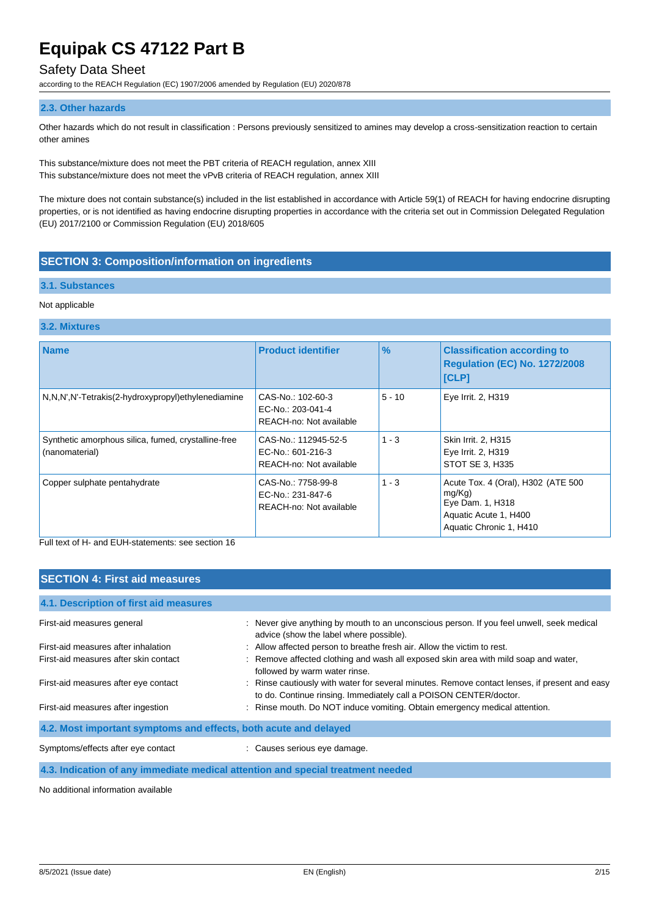### Safety Data Sheet

according to the REACH Regulation (EC) 1907/2006 amended by Regulation (EU) 2020/878

#### **2.3. Other hazards**

Other hazards which do not result in classification : Persons previously sensitized to amines may develop a cross-sensitization reaction to certain other amines

This substance/mixture does not meet the PBT criteria of REACH regulation, annex XIII This substance/mixture does not meet the vPvB criteria of REACH regulation, annex XIII

The mixture does not contain substance(s) included in the list established in accordance with Article 59(1) of REACH for having endocrine disrupting properties, or is not identified as having endocrine disrupting properties in accordance with the criteria set out in Commission Delegated Regulation (EU) 2017/2100 or Commission Regulation (EU) 2018/605

### **SECTION 3: Composition/information on ingredients**

#### **3.1. Substances**

#### Not applicable

#### **3.2. Mixtures**

| <b>Name</b>                                                           | <b>Product identifier</b>                                            | $\frac{9}{6}$ | <b>Classification according to</b><br><b>Regulation (EC) No. 1272/2008</b><br>[CLP]                                  |
|-----------------------------------------------------------------------|----------------------------------------------------------------------|---------------|----------------------------------------------------------------------------------------------------------------------|
| N,N,N',N'-Tetrakis(2-hydroxypropyl)ethylenediamine                    | CAS-No.: 102-60-3<br>EC-No.: 203-041-4<br>REACH-no: Not available    | $5 - 10$      | Eye Irrit. 2, H319                                                                                                   |
| Synthetic amorphous silica, fumed, crystalline-free<br>(nanomaterial) | CAS-No.: 112945-52-5<br>EC-No.: 601-216-3<br>REACH-no: Not available | $1 - 3$       | Skin Irrit. 2, H315<br>Eye Irrit. 2, H319<br>STOT SE 3, H335                                                         |
| Copper sulphate pentahydrate                                          | CAS-No.: 7758-99-8<br>EC-No.: 231-847-6<br>REACH-no: Not available   | $1 - 3$       | Acute Tox. 4 (Oral), H302 (ATE 500<br>mg/Kg)<br>Eye Dam. 1, H318<br>Aquatic Acute 1, H400<br>Aquatic Chronic 1, H410 |

Full text of H- and EUH-statements: see section 16

### **SECTION 4: First aid measures**

| First-aid measures general                                                      | : Never give anything by mouth to an unconscious person. If you feel unwell, seek medical                                                                          |  |
|---------------------------------------------------------------------------------|--------------------------------------------------------------------------------------------------------------------------------------------------------------------|--|
|                                                                                 | advice (show the label where possible).                                                                                                                            |  |
| First-aid measures after inhalation                                             | : Allow affected person to breathe fresh air. Allow the victim to rest.                                                                                            |  |
| First-aid measures after skin contact                                           | : Remove affected clothing and wash all exposed skin area with mild soap and water,<br>followed by warm water rinse.                                               |  |
| First-aid measures after eye contact                                            | : Rinse cautiously with water for several minutes. Remove contact lenses, if present and easy<br>to do. Continue rinsing. Immediately call a POISON CENTER/doctor. |  |
| First-aid measures after ingestion                                              | : Rinse mouth. Do NOT induce vomiting. Obtain emergency medical attention.                                                                                         |  |
| 4.2. Most important symptoms and effects, both acute and delayed                |                                                                                                                                                                    |  |
| Symptoms/effects after eye contact                                              | : Causes serious eye damage.                                                                                                                                       |  |
| 4.3. Indication of any immediate medical attention and special treatment needed |                                                                                                                                                                    |  |

No additional information available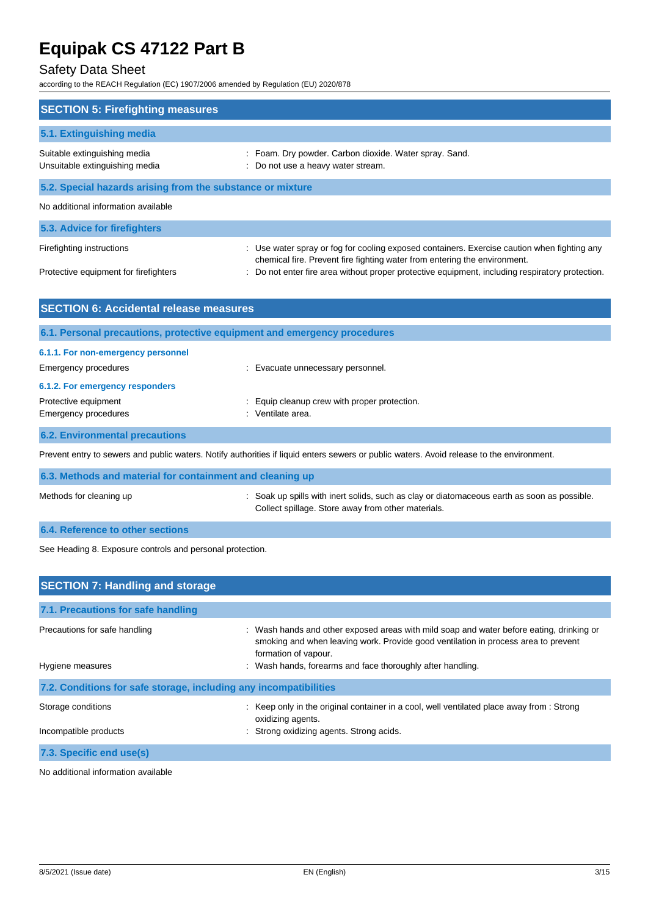## Safety Data Sheet

according to the REACH Regulation (EC) 1907/2006 amended by Regulation (EU) 2020/878

| <b>SECTION 5: Firefighting measures</b>                                                |                                                                                                                                                                                                                                                                           |
|----------------------------------------------------------------------------------------|---------------------------------------------------------------------------------------------------------------------------------------------------------------------------------------------------------------------------------------------------------------------------|
| 5.1. Extinguishing media                                                               |                                                                                                                                                                                                                                                                           |
| Suitable extinguishing media<br>Unsuitable extinguishing media                         | : Foam. Dry powder. Carbon dioxide. Water spray. Sand.<br>Do not use a heavy water stream.                                                                                                                                                                                |
| 5.2. Special hazards arising from the substance or mixture                             |                                                                                                                                                                                                                                                                           |
| No additional information available                                                    |                                                                                                                                                                                                                                                                           |
| 5.3. Advice for firefighters                                                           |                                                                                                                                                                                                                                                                           |
| Firefighting instructions<br>Protective equipment for firefighters                     | : Use water spray or fog for cooling exposed containers. Exercise caution when fighting any<br>chemical fire. Prevent fire fighting water from entering the environment.<br>Do not enter fire area without proper protective equipment, including respiratory protection. |
| <b>SECTION 6: Accidental release measures</b>                                          |                                                                                                                                                                                                                                                                           |
| 6.1. Personal precautions, protective equipment and emergency procedures               |                                                                                                                                                                                                                                                                           |
| 6.1.1. For non-emergency personnel<br><b>Emergency procedures</b>                      | : Evacuate unnecessary personnel.                                                                                                                                                                                                                                         |
| 6.1.2. For emergency responders<br>Protective equipment<br><b>Emergency procedures</b> | Equip cleanup crew with proper protection.<br>: Ventilate area.                                                                                                                                                                                                           |
| <b>6.2. Environmental precautions</b>                                                  |                                                                                                                                                                                                                                                                           |
|                                                                                        | Prevent entry to sewers and public waters. Notify authorities if liquid enters sewers or public waters. Avoid release to the environment.                                                                                                                                 |

| 6.3. Methods and material for containment and cleaning up |                                                                                                                                                   |  |
|-----------------------------------------------------------|---------------------------------------------------------------------------------------------------------------------------------------------------|--|
| Methods for cleaning up                                   | : Soak up spills with inert solids, such as clay or diatomaceous earth as soon as possible.<br>Collect spillage. Store away from other materials. |  |

### **6.4. Reference to other sections**

See Heading 8. Exposure controls and personal protection.

| <b>SECTION 7: Handling and storage</b>                            |                                                                                                                                                                                                        |  |
|-------------------------------------------------------------------|--------------------------------------------------------------------------------------------------------------------------------------------------------------------------------------------------------|--|
| 7.1. Precautions for safe handling                                |                                                                                                                                                                                                        |  |
| Precautions for safe handling                                     | : Wash hands and other exposed areas with mild soap and water before eating, drinking or<br>smoking and when leaving work. Provide good ventilation in process area to prevent<br>formation of vapour. |  |
| Hygiene measures                                                  | : Wash hands, forearms and face thoroughly after handling.                                                                                                                                             |  |
| 7.2. Conditions for safe storage, including any incompatibilities |                                                                                                                                                                                                        |  |
| Storage conditions                                                | : Keep only in the original container in a cool, well ventilated place away from : Strong<br>oxidizing agents.                                                                                         |  |
| Incompatible products                                             | : Strong oxidizing agents. Strong acids.                                                                                                                                                               |  |
| 7.3. Specific end use(s)                                          |                                                                                                                                                                                                        |  |

No additional information available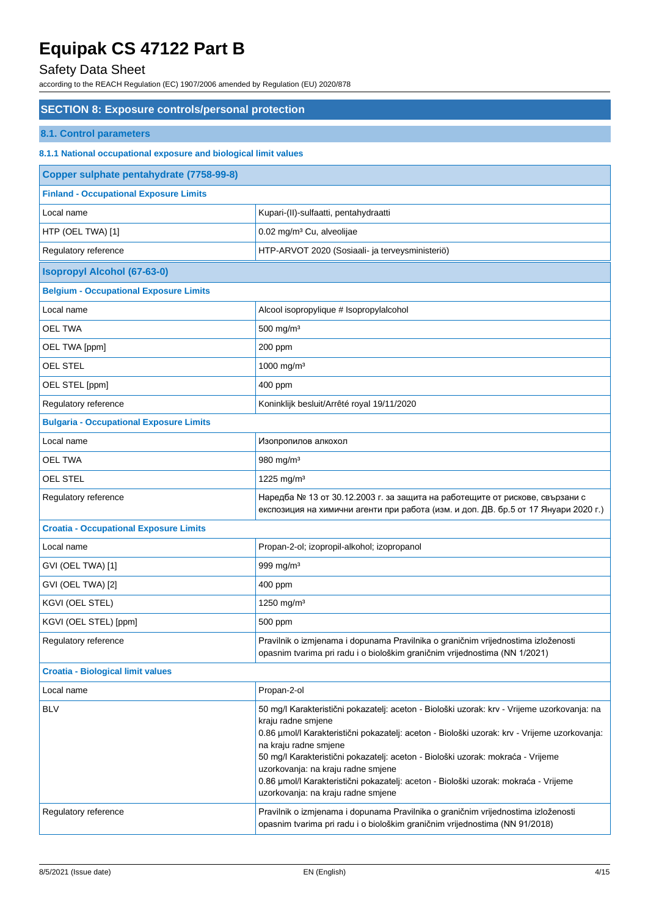# Safety Data Sheet

| <b>SECTION 8: Exposure controls/personal protection</b>          |                                                                                                                                                                                                                                                                                                                                                                                                                                                                                                  |  |
|------------------------------------------------------------------|--------------------------------------------------------------------------------------------------------------------------------------------------------------------------------------------------------------------------------------------------------------------------------------------------------------------------------------------------------------------------------------------------------------------------------------------------------------------------------------------------|--|
| <b>8.1. Control parameters</b>                                   |                                                                                                                                                                                                                                                                                                                                                                                                                                                                                                  |  |
| 8.1.1 National occupational exposure and biological limit values |                                                                                                                                                                                                                                                                                                                                                                                                                                                                                                  |  |
| Copper sulphate pentahydrate (7758-99-8)                         |                                                                                                                                                                                                                                                                                                                                                                                                                                                                                                  |  |
| <b>Finland - Occupational Exposure Limits</b>                    |                                                                                                                                                                                                                                                                                                                                                                                                                                                                                                  |  |
| Local name                                                       | Kupari-(II)-sulfaatti, pentahydraatti                                                                                                                                                                                                                                                                                                                                                                                                                                                            |  |
| HTP (OEL TWA) [1]                                                | 0.02 mg/m <sup>3</sup> Cu, alveolijae                                                                                                                                                                                                                                                                                                                                                                                                                                                            |  |
| Regulatory reference                                             | HTP-ARVOT 2020 (Sosiaali- ja terveysministeriö)                                                                                                                                                                                                                                                                                                                                                                                                                                                  |  |
| <b>Isopropyl Alcohol (67-63-0)</b>                               |                                                                                                                                                                                                                                                                                                                                                                                                                                                                                                  |  |
| <b>Belgium - Occupational Exposure Limits</b>                    |                                                                                                                                                                                                                                                                                                                                                                                                                                                                                                  |  |
| Local name                                                       | Alcool isopropylique # Isopropylalcohol                                                                                                                                                                                                                                                                                                                                                                                                                                                          |  |
| <b>OEL TWA</b>                                                   | 500 mg/m <sup>3</sup>                                                                                                                                                                                                                                                                                                                                                                                                                                                                            |  |
| OEL TWA [ppm]                                                    | 200 ppm                                                                                                                                                                                                                                                                                                                                                                                                                                                                                          |  |
| OEL STEL                                                         | 1000 mg/m <sup>3</sup>                                                                                                                                                                                                                                                                                                                                                                                                                                                                           |  |
| OEL STEL [ppm]                                                   | 400 ppm                                                                                                                                                                                                                                                                                                                                                                                                                                                                                          |  |
| Regulatory reference                                             | Koninklijk besluit/Arrêté royal 19/11/2020                                                                                                                                                                                                                                                                                                                                                                                                                                                       |  |
| <b>Bulgaria - Occupational Exposure Limits</b>                   |                                                                                                                                                                                                                                                                                                                                                                                                                                                                                                  |  |
| Local name                                                       | Изопропилов алкохол                                                                                                                                                                                                                                                                                                                                                                                                                                                                              |  |
| <b>OEL TWA</b>                                                   | 980 mg/m <sup>3</sup>                                                                                                                                                                                                                                                                                                                                                                                                                                                                            |  |
| <b>OEL STEL</b>                                                  | 1225 mg/m <sup>3</sup>                                                                                                                                                                                                                                                                                                                                                                                                                                                                           |  |
| Regulatory reference                                             | Наредба № 13 от 30.12.2003 г. за защита на работещите от рискове, свързани с<br>експозиция на химични агенти при работа (изм. и доп. ДВ. бр.5 от 17 Януари 2020 г.)                                                                                                                                                                                                                                                                                                                              |  |
| <b>Croatia - Occupational Exposure Limits</b>                    |                                                                                                                                                                                                                                                                                                                                                                                                                                                                                                  |  |
| Local name                                                       | Propan-2-ol; izopropil-alkohol; izopropanol                                                                                                                                                                                                                                                                                                                                                                                                                                                      |  |
| GVI (OEL TWA) [1]                                                | 999 mg/m <sup>3</sup>                                                                                                                                                                                                                                                                                                                                                                                                                                                                            |  |
| GVI (OEL TWA) [2]                                                | 400 ppm                                                                                                                                                                                                                                                                                                                                                                                                                                                                                          |  |
| KGVI (OEL STEL)                                                  | 1250 mg/m <sup>3</sup>                                                                                                                                                                                                                                                                                                                                                                                                                                                                           |  |
| KGVI (OEL STEL) [ppm]                                            | 500 ppm                                                                                                                                                                                                                                                                                                                                                                                                                                                                                          |  |
| Regulatory reference                                             | Pravilnik o izmjenama i dopunama Pravilnika o graničnim vrijednostima izloženosti<br>opasnim tvarima pri radu i o biološkim graničnim vrijednostima (NN 1/2021)                                                                                                                                                                                                                                                                                                                                  |  |
| <b>Croatia - Biological limit values</b>                         |                                                                                                                                                                                                                                                                                                                                                                                                                                                                                                  |  |
| Local name                                                       | Propan-2-ol                                                                                                                                                                                                                                                                                                                                                                                                                                                                                      |  |
| <b>BLV</b>                                                       | 50 mg/l Karakteristični pokazatelj: aceton - Biološki uzorak: krv - Vrijeme uzorkovanja: na<br>kraju radne smjene<br>0.86 µmol/l Karakteristični pokazatelj: aceton - Biološki uzorak: krv - Vrijeme uzorkovanja:<br>na kraju radne smjene<br>50 mg/l Karakteristični pokazatelj: aceton - Biološki uzorak: mokraća - Vrijeme<br>uzorkovanja: na kraju radne smjene<br>0.86 µmol/l Karakteristični pokazatelj: aceton - Biološki uzorak: mokraća - Vrijeme<br>uzorkovanja: na kraju radne smjene |  |
| Regulatory reference                                             | Pravilnik o izmjenama i dopunama Pravilnika o graničnim vrijednostima izloženosti<br>opasnim tvarima pri radu i o biološkim graničnim vrijednostima (NN 91/2018)                                                                                                                                                                                                                                                                                                                                 |  |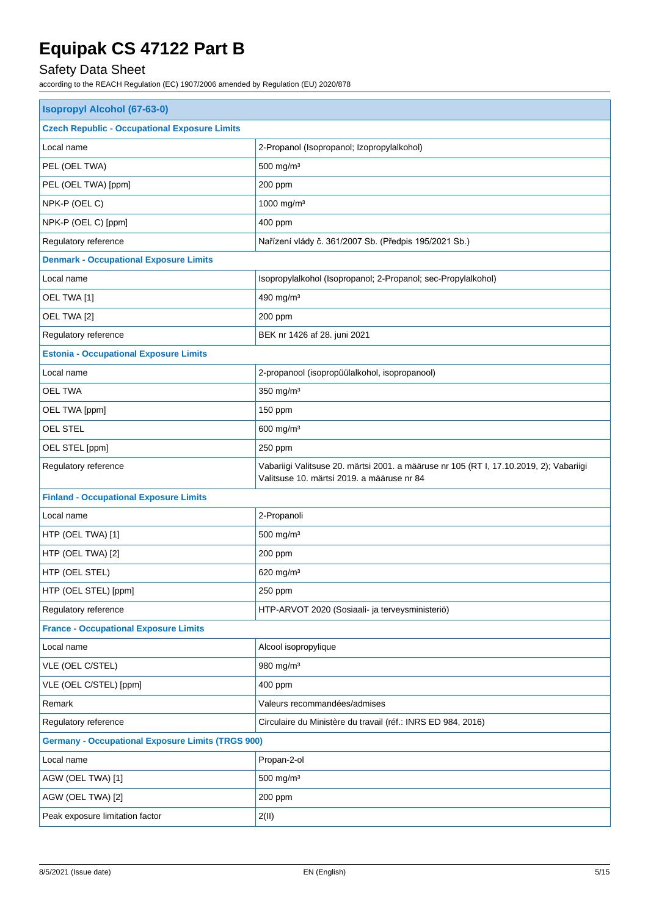# Safety Data Sheet

| <b>Isopropyl Alcohol (67-63-0)</b>                       |                                                                                                                                      |  |
|----------------------------------------------------------|--------------------------------------------------------------------------------------------------------------------------------------|--|
| <b>Czech Republic - Occupational Exposure Limits</b>     |                                                                                                                                      |  |
| Local name                                               | 2-Propanol (Isopropanol; Izopropylalkohol)                                                                                           |  |
| PEL (OEL TWA)                                            | 500 mg/m <sup>3</sup>                                                                                                                |  |
| PEL (OEL TWA) [ppm]                                      | $200$ ppm                                                                                                                            |  |
| NPK-P (OEL C)                                            | 1000 mg/m <sup>3</sup>                                                                                                               |  |
| NPK-P (OEL C) [ppm]                                      | 400 ppm                                                                                                                              |  |
| Regulatory reference                                     | Nařízení vlády č. 361/2007 Sb. (Předpis 195/2021 Sb.)                                                                                |  |
| <b>Denmark - Occupational Exposure Limits</b>            |                                                                                                                                      |  |
| Local name                                               | Isopropylalkohol (Isopropanol; 2-Propanol; sec-Propylalkohol)                                                                        |  |
| OEL TWA [1]                                              | 490 mg/m <sup>3</sup>                                                                                                                |  |
| OEL TWA [2]                                              | 200 ppm                                                                                                                              |  |
| Regulatory reference                                     | BEK nr 1426 af 28. juni 2021                                                                                                         |  |
| <b>Estonia - Occupational Exposure Limits</b>            |                                                                                                                                      |  |
| Local name                                               | 2-propanool (isopropüülalkohol, isopropanool)                                                                                        |  |
| OEL TWA                                                  | 350 mg/m $3$                                                                                                                         |  |
| OEL TWA [ppm]                                            | 150 ppm                                                                                                                              |  |
| <b>OEL STEL</b>                                          | 600 mg/m <sup>3</sup>                                                                                                                |  |
| OEL STEL [ppm]                                           | 250 ppm                                                                                                                              |  |
| Regulatory reference                                     | Vabariigi Valitsuse 20. märtsi 2001. a määruse nr 105 (RT I, 17.10.2019, 2); Vabariigi<br>Valitsuse 10. märtsi 2019. a määruse nr 84 |  |
| <b>Finland - Occupational Exposure Limits</b>            |                                                                                                                                      |  |
| Local name                                               | 2-Propanoli                                                                                                                          |  |
| HTP (OEL TWA) [1]                                        | 500 mg/m <sup>3</sup>                                                                                                                |  |
| HTP (OEL TWA) [2]                                        | 200 ppm                                                                                                                              |  |
| HTP (OEL STEL)                                           | 620 mg/m <sup>3</sup>                                                                                                                |  |
| HTP (OEL STEL) [ppm]                                     | 250 ppm                                                                                                                              |  |
| Regulatory reference                                     | HTP-ARVOT 2020 (Sosiaali- ja terveysministeriö)                                                                                      |  |
| <b>France - Occupational Exposure Limits</b>             |                                                                                                                                      |  |
| Local name                                               | Alcool isopropylique                                                                                                                 |  |
| VLE (OEL C/STEL)                                         | 980 mg/m <sup>3</sup>                                                                                                                |  |
| VLE (OEL C/STEL) [ppm]                                   | 400 ppm                                                                                                                              |  |
| Remark                                                   | Valeurs recommandées/admises                                                                                                         |  |
| Regulatory reference                                     | Circulaire du Ministère du travail (réf.: INRS ED 984, 2016)                                                                         |  |
| <b>Germany - Occupational Exposure Limits (TRGS 900)</b> |                                                                                                                                      |  |
| Local name                                               | Propan-2-ol                                                                                                                          |  |
| AGW (OEL TWA) [1]                                        | 500 mg/m <sup>3</sup>                                                                                                                |  |
| AGW (OEL TWA) [2]                                        | 200 ppm                                                                                                                              |  |
| Peak exposure limitation factor                          | 2(II)                                                                                                                                |  |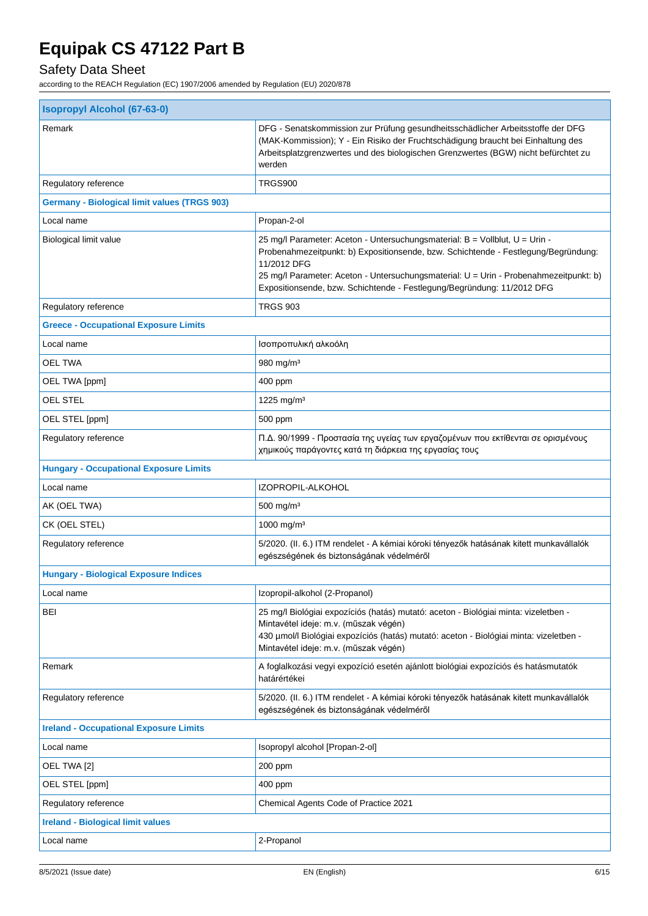# Safety Data Sheet

| <b>Isopropyl Alcohol (67-63-0)</b>                  |                                                                                                                                                                                                                                                                                                                                                     |  |  |
|-----------------------------------------------------|-----------------------------------------------------------------------------------------------------------------------------------------------------------------------------------------------------------------------------------------------------------------------------------------------------------------------------------------------------|--|--|
| Remark                                              | DFG - Senatskommission zur Prüfung gesundheitsschädlicher Arbeitsstoffe der DFG<br>(MAK-Kommission); Y - Ein Risiko der Fruchtschädigung braucht bei Einhaltung des<br>Arbeitsplatzgrenzwertes und des biologischen Grenzwertes (BGW) nicht befürchtet zu<br>werden                                                                                 |  |  |
| Regulatory reference                                | TRGS900                                                                                                                                                                                                                                                                                                                                             |  |  |
| <b>Germany - Biological limit values (TRGS 903)</b> |                                                                                                                                                                                                                                                                                                                                                     |  |  |
| Local name                                          | Propan-2-ol                                                                                                                                                                                                                                                                                                                                         |  |  |
| Biological limit value                              | 25 mg/l Parameter: Aceton - Untersuchungsmaterial: B = Vollblut, U = Urin -<br>Probenahmezeitpunkt: b) Expositionsende, bzw. Schichtende - Festlegung/Begründung:<br>11/2012 DFG<br>25 mg/l Parameter: Aceton - Untersuchungsmaterial: U = Urin - Probenahmezeitpunkt: b)<br>Expositionsende, bzw. Schichtende - Festlegung/Begründung: 11/2012 DFG |  |  |
| Regulatory reference                                | <b>TRGS 903</b>                                                                                                                                                                                                                                                                                                                                     |  |  |
| <b>Greece - Occupational Exposure Limits</b>        |                                                                                                                                                                                                                                                                                                                                                     |  |  |
| Local name                                          | Ισοπροπυλική αλκοόλη                                                                                                                                                                                                                                                                                                                                |  |  |
| <b>OEL TWA</b>                                      | 980 mg/ $m3$                                                                                                                                                                                                                                                                                                                                        |  |  |
| OEL TWA [ppm]                                       | 400 ppm                                                                                                                                                                                                                                                                                                                                             |  |  |
| OEL STEL                                            | 1225 mg/m <sup>3</sup>                                                                                                                                                                                                                                                                                                                              |  |  |
| OEL STEL [ppm]                                      | 500 ppm                                                                                                                                                                                                                                                                                                                                             |  |  |
| Regulatory reference                                | Π.Δ. 90/1999 - Προστασία της υγείας των εργαζομένων που εκτίθενται σε ορισμένους<br>χημικούς παράγοντες κατά τη διάρκεια της εργασίας τους                                                                                                                                                                                                          |  |  |
| <b>Hungary - Occupational Exposure Limits</b>       |                                                                                                                                                                                                                                                                                                                                                     |  |  |
| Local name                                          | IZOPROPIL-ALKOHOL                                                                                                                                                                                                                                                                                                                                   |  |  |
| AK (OEL TWA)                                        | 500 mg/m <sup>3</sup>                                                                                                                                                                                                                                                                                                                               |  |  |
| CK (OEL STEL)                                       | 1000 mg/m <sup>3</sup>                                                                                                                                                                                                                                                                                                                              |  |  |
| Regulatory reference                                | 5/2020. (II. 6.) ITM rendelet - A kémiai kóroki tényezők hatásának kitett munkavállalók<br>egészségének és biztonságának védelméről                                                                                                                                                                                                                 |  |  |
| <b>Hungary - Biological Exposure Indices</b>        |                                                                                                                                                                                                                                                                                                                                                     |  |  |
| Local name                                          | Izopropil-alkohol (2-Propanol)                                                                                                                                                                                                                                                                                                                      |  |  |
| BEI                                                 | 25 mg/l Biológiai expozíciós (hatás) mutató: aceton - Biológiai minta: vizeletben -<br>Mintavétel ideje: m.v. (műszak végén)<br>430 µmol/l Biológiai expozíciós (hatás) mutató: aceton - Biológiai minta: vizeletben -<br>Mintavétel ideje: m.v. (műszak végén)                                                                                     |  |  |
| Remark                                              | A foglalkozási vegyi expozíció esetén ajánlott biológiai expozíciós és hatásmutatók<br>határértékei                                                                                                                                                                                                                                                 |  |  |
| Regulatory reference                                | 5/2020. (II. 6.) ITM rendelet - A kémiai kóroki tényezők hatásának kitett munkavállalók<br>egészségének és biztonságának védelméről                                                                                                                                                                                                                 |  |  |
| <b>Ireland - Occupational Exposure Limits</b>       |                                                                                                                                                                                                                                                                                                                                                     |  |  |
| Local name                                          | Isopropyl alcohol [Propan-2-ol]                                                                                                                                                                                                                                                                                                                     |  |  |
| OEL TWA [2]                                         | $200$ ppm                                                                                                                                                                                                                                                                                                                                           |  |  |
| OEL STEL [ppm]                                      | 400 ppm                                                                                                                                                                                                                                                                                                                                             |  |  |
| Regulatory reference                                | Chemical Agents Code of Practice 2021                                                                                                                                                                                                                                                                                                               |  |  |
| <b>Ireland - Biological limit values</b>            |                                                                                                                                                                                                                                                                                                                                                     |  |  |
| Local name                                          | 2-Propanol                                                                                                                                                                                                                                                                                                                                          |  |  |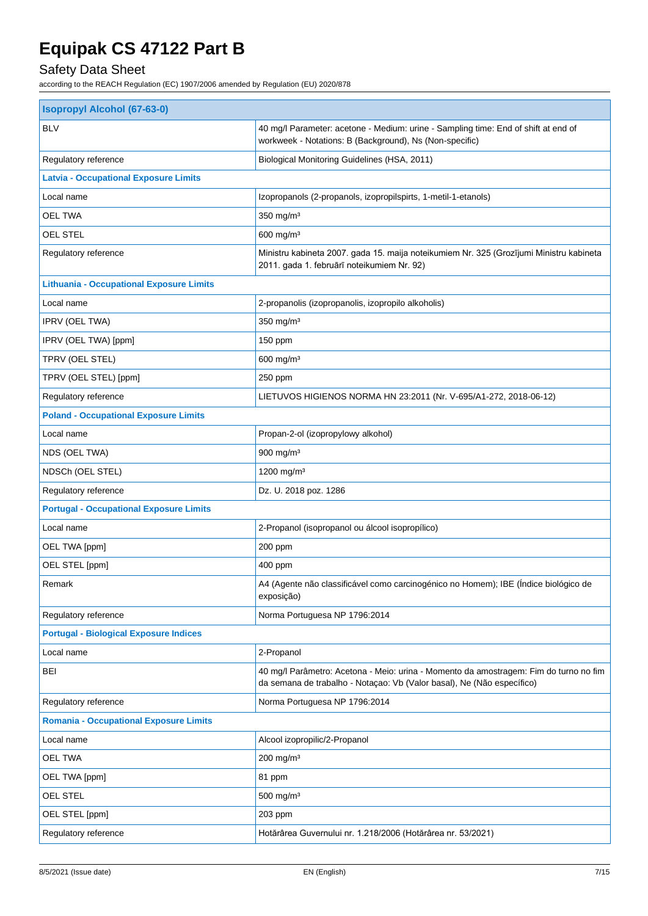# Safety Data Sheet

| <b>Isopropyl Alcohol (67-63-0)</b>              |                                                                                                                                                                 |  |  |
|-------------------------------------------------|-----------------------------------------------------------------------------------------------------------------------------------------------------------------|--|--|
| <b>BLV</b>                                      | 40 mg/l Parameter: acetone - Medium: urine - Sampling time: End of shift at end of<br>workweek - Notations: B (Background), Ns (Non-specific)                   |  |  |
| Regulatory reference                            | Biological Monitoring Guidelines (HSA, 2011)                                                                                                                    |  |  |
| <b>Latvia - Occupational Exposure Limits</b>    |                                                                                                                                                                 |  |  |
| Local name                                      | Izopropanols (2-propanols, izopropilspirts, 1-metil-1-etanols)                                                                                                  |  |  |
| <b>OEL TWA</b>                                  | 350 mg/m <sup>3</sup>                                                                                                                                           |  |  |
| <b>OEL STEL</b>                                 | 600 mg/m <sup>3</sup>                                                                                                                                           |  |  |
| Regulatory reference                            | Ministru kabineta 2007. gada 15. maija noteikumiem Nr. 325 (Grozījumi Ministru kabineta<br>2011. gada 1. februārī noteikumiem Nr. 92)                           |  |  |
| <b>Lithuania - Occupational Exposure Limits</b> |                                                                                                                                                                 |  |  |
| Local name                                      | 2-propanolis (izopropanolis, izopropilo alkoholis)                                                                                                              |  |  |
| IPRV (OEL TWA)                                  | 350 mg/m <sup>3</sup>                                                                                                                                           |  |  |
| IPRV (OEL TWA) [ppm]                            | 150 ppm                                                                                                                                                         |  |  |
| TPRV (OEL STEL)                                 | $600$ mg/m <sup>3</sup>                                                                                                                                         |  |  |
| TPRV (OEL STEL) [ppm]                           | 250 ppm                                                                                                                                                         |  |  |
| Regulatory reference                            | LIETUVOS HIGIENOS NORMA HN 23:2011 (Nr. V-695/A1-272, 2018-06-12)                                                                                               |  |  |
| <b>Poland - Occupational Exposure Limits</b>    |                                                                                                                                                                 |  |  |
| Local name                                      | Propan-2-ol (izopropylowy alkohol)                                                                                                                              |  |  |
| NDS (OEL TWA)                                   | 900 mg/m <sup>3</sup>                                                                                                                                           |  |  |
| NDSCh (OEL STEL)                                | 1200 mg/m <sup>3</sup>                                                                                                                                          |  |  |
| Regulatory reference                            | Dz. U. 2018 poz. 1286                                                                                                                                           |  |  |
| <b>Portugal - Occupational Exposure Limits</b>  |                                                                                                                                                                 |  |  |
| Local name                                      | 2-Propanol (isopropanol ou álcool isopropílico)                                                                                                                 |  |  |
| OEL TWA [ppm]                                   | 200 ppm                                                                                                                                                         |  |  |
| OEL STEL [ppm]                                  | 400 ppm                                                                                                                                                         |  |  |
| Remark                                          | A4 (Agente não classificável como carcinogénico no Homem); IBE (Índice biológico de<br>exposição)                                                               |  |  |
| Regulatory reference                            | Norma Portuguesa NP 1796:2014                                                                                                                                   |  |  |
| <b>Portugal - Biological Exposure Indices</b>   |                                                                                                                                                                 |  |  |
| Local name                                      | 2-Propanol                                                                                                                                                      |  |  |
| BEI                                             | 40 mg/l Parâmetro: Acetona - Meio: urina - Momento da amostragem: Fim do turno no fim<br>da semana de trabalho - Notaçao: Vb (Valor basal), Ne (Não específico) |  |  |
| Regulatory reference                            | Norma Portuguesa NP 1796:2014                                                                                                                                   |  |  |
| <b>Romania - Occupational Exposure Limits</b>   |                                                                                                                                                                 |  |  |
| Local name                                      | Alcool izopropilic/2-Propanol                                                                                                                                   |  |  |
| OEL TWA                                         | 200 mg/m <sup>3</sup>                                                                                                                                           |  |  |
| OEL TWA [ppm]                                   | 81 ppm                                                                                                                                                          |  |  |
| <b>OEL STEL</b>                                 | 500 mg/m <sup>3</sup>                                                                                                                                           |  |  |
| OEL STEL [ppm]                                  | 203 ppm                                                                                                                                                         |  |  |
| Regulatory reference                            | Hotărârea Guvernului nr. 1.218/2006 (Hotărârea nr. 53/2021)                                                                                                     |  |  |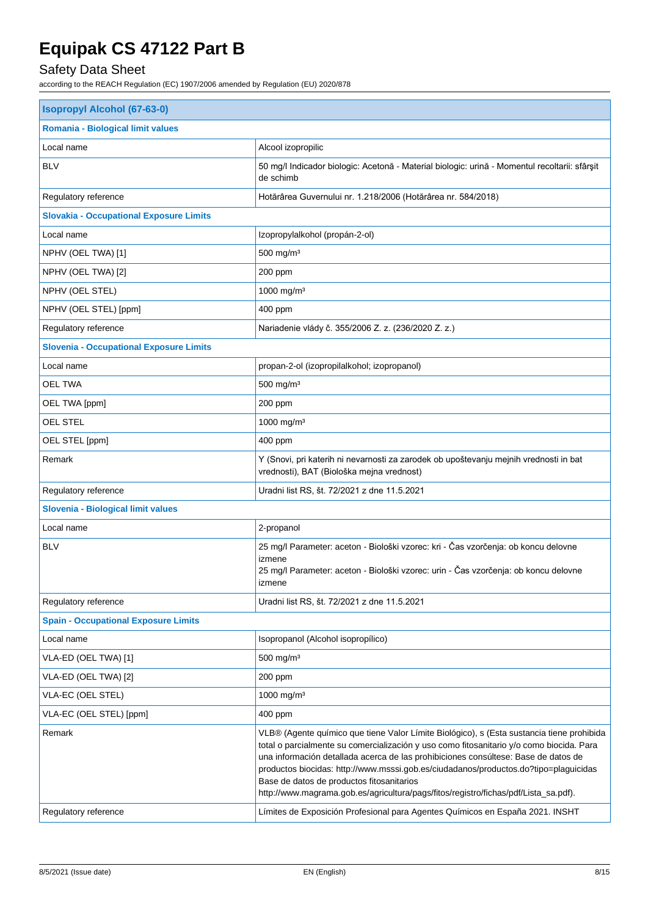# Safety Data Sheet

| <b>Isopropyl Alcohol (67-63-0)</b>             |                                                                                                                                                                                                                                                                                                                                                                                                                                                                                                         |  |
|------------------------------------------------|---------------------------------------------------------------------------------------------------------------------------------------------------------------------------------------------------------------------------------------------------------------------------------------------------------------------------------------------------------------------------------------------------------------------------------------------------------------------------------------------------------|--|
| <b>Romania - Biological limit values</b>       |                                                                                                                                                                                                                                                                                                                                                                                                                                                                                                         |  |
| Local name                                     | Alcool izopropilic                                                                                                                                                                                                                                                                                                                                                                                                                                                                                      |  |
| <b>BLV</b>                                     | 50 mg/l Indicador biologic: Acetonă - Material biologic: urină - Momentul recoltarii: sfârșit<br>de schimb                                                                                                                                                                                                                                                                                                                                                                                              |  |
| Regulatory reference                           | Hotărârea Guvernului nr. 1.218/2006 (Hotărârea nr. 584/2018)                                                                                                                                                                                                                                                                                                                                                                                                                                            |  |
| <b>Slovakia - Occupational Exposure Limits</b> |                                                                                                                                                                                                                                                                                                                                                                                                                                                                                                         |  |
| Local name                                     | Izopropylalkohol (propán-2-ol)                                                                                                                                                                                                                                                                                                                                                                                                                                                                          |  |
| NPHV (OEL TWA) [1]                             | 500 mg/m <sup>3</sup>                                                                                                                                                                                                                                                                                                                                                                                                                                                                                   |  |
| NPHV (OEL TWA) [2]                             | 200 ppm                                                                                                                                                                                                                                                                                                                                                                                                                                                                                                 |  |
| NPHV (OEL STEL)                                | 1000 mg/m <sup>3</sup>                                                                                                                                                                                                                                                                                                                                                                                                                                                                                  |  |
| NPHV (OEL STEL) [ppm]                          | 400 ppm                                                                                                                                                                                                                                                                                                                                                                                                                                                                                                 |  |
| Regulatory reference                           | Nariadenie vlády č. 355/2006 Z. z. (236/2020 Z. z.)                                                                                                                                                                                                                                                                                                                                                                                                                                                     |  |
| <b>Slovenia - Occupational Exposure Limits</b> |                                                                                                                                                                                                                                                                                                                                                                                                                                                                                                         |  |
| Local name                                     | propan-2-ol (izopropilalkohol; izopropanol)                                                                                                                                                                                                                                                                                                                                                                                                                                                             |  |
| OEL TWA                                        | 500 mg/m <sup>3</sup>                                                                                                                                                                                                                                                                                                                                                                                                                                                                                   |  |
| OEL TWA [ppm]                                  | 200 ppm                                                                                                                                                                                                                                                                                                                                                                                                                                                                                                 |  |
| <b>OEL STEL</b>                                | 1000 mg/m <sup>3</sup>                                                                                                                                                                                                                                                                                                                                                                                                                                                                                  |  |
| OEL STEL [ppm]                                 | 400 ppm                                                                                                                                                                                                                                                                                                                                                                                                                                                                                                 |  |
| Remark                                         | Y (Snovi, pri katerih ni nevarnosti za zarodek ob upoštevanju mejnih vrednosti in bat<br>vrednosti), BAT (Biološka mejna vrednost)                                                                                                                                                                                                                                                                                                                                                                      |  |
| Regulatory reference                           | Uradni list RS, št. 72/2021 z dne 11.5.2021                                                                                                                                                                                                                                                                                                                                                                                                                                                             |  |
| Slovenia - Biological limit values             |                                                                                                                                                                                                                                                                                                                                                                                                                                                                                                         |  |
| Local name                                     | 2-propanol                                                                                                                                                                                                                                                                                                                                                                                                                                                                                              |  |
| <b>BLV</b>                                     | 25 mg/l Parameter: aceton - Biološki vzorec: kri - Čas vzorčenja: ob koncu delovne<br>izmene<br>25 mg/l Parameter: aceton - Biološki vzorec: urin - Čas vzorčenja: ob koncu delovne<br>izmene                                                                                                                                                                                                                                                                                                           |  |
| Regulatory reference                           | Uradni list RS, št. 72/2021 z dne 11.5.2021                                                                                                                                                                                                                                                                                                                                                                                                                                                             |  |
| <b>Spain - Occupational Exposure Limits</b>    |                                                                                                                                                                                                                                                                                                                                                                                                                                                                                                         |  |
| Local name                                     | Isopropanol (Alcohol isopropílico)                                                                                                                                                                                                                                                                                                                                                                                                                                                                      |  |
| VLA-ED (OEL TWA) [1]                           | 500 mg/m <sup>3</sup>                                                                                                                                                                                                                                                                                                                                                                                                                                                                                   |  |
| VLA-ED (OEL TWA) [2]                           | 200 ppm                                                                                                                                                                                                                                                                                                                                                                                                                                                                                                 |  |
| VLA-EC (OEL STEL)                              | 1000 mg/m <sup>3</sup>                                                                                                                                                                                                                                                                                                                                                                                                                                                                                  |  |
| VLA-EC (OEL STEL) [ppm]                        | 400 ppm                                                                                                                                                                                                                                                                                                                                                                                                                                                                                                 |  |
| Remark                                         | VLB® (Agente químico que tiene Valor Límite Biológico), s (Esta sustancia tiene prohibida<br>total o parcialmente su comercialización y uso como fitosanitario y/o como biocida. Para<br>una información detallada acerca de las prohibiciones consúltese: Base de datos de<br>productos biocidas: http://www.msssi.gob.es/ciudadanos/productos.do?tipo=plaguicidas<br>Base de datos de productos fitosanitarios<br>http://www.magrama.gob.es/agricultura/pags/fitos/registro/fichas/pdf/Lista_sa.pdf). |  |
| Regulatory reference                           | Límites de Exposición Profesional para Agentes Químicos en España 2021. INSHT                                                                                                                                                                                                                                                                                                                                                                                                                           |  |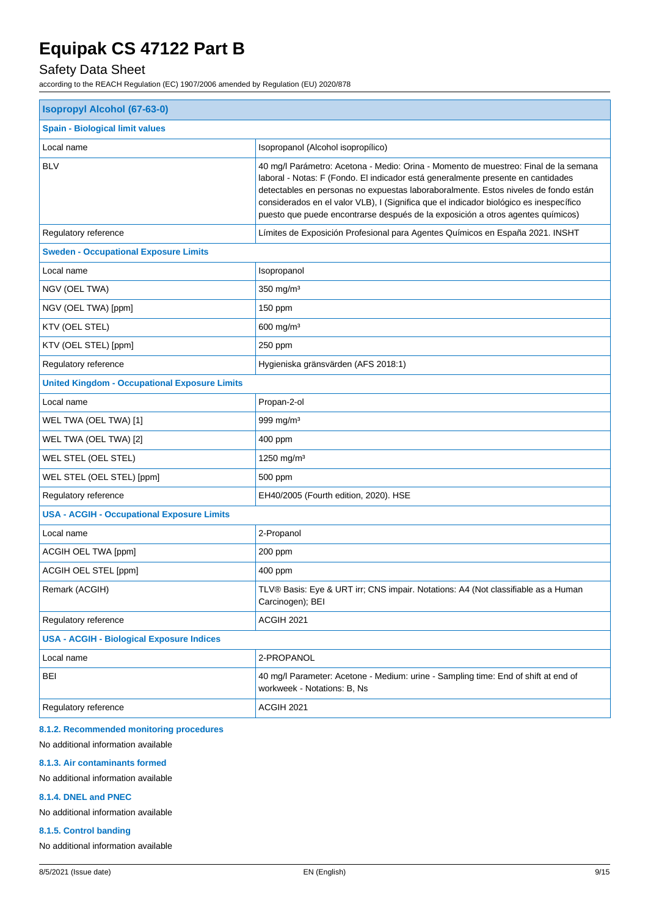## Safety Data Sheet

according to the REACH Regulation (EC) 1907/2006 amended by Regulation (EU) 2020/878

| <b>Isopropyl Alcohol (67-63-0)</b>                   |                                                                                                                                                                                                                                                                                                                                                                                                                                             |  |  |
|------------------------------------------------------|---------------------------------------------------------------------------------------------------------------------------------------------------------------------------------------------------------------------------------------------------------------------------------------------------------------------------------------------------------------------------------------------------------------------------------------------|--|--|
| <b>Spain - Biological limit values</b>               |                                                                                                                                                                                                                                                                                                                                                                                                                                             |  |  |
| Local name                                           | Isopropanol (Alcohol isopropílico)                                                                                                                                                                                                                                                                                                                                                                                                          |  |  |
| <b>BLV</b>                                           | 40 mg/l Parámetro: Acetona - Medio: Orina - Momento de muestreo: Final de la semana<br>laboral - Notas: F (Fondo. El indicador está generalmente presente en cantidades<br>detectables en personas no expuestas laboraboralmente. Estos niveles de fondo están<br>considerados en el valor VLB), I (Significa que el indicador biológico es inespecífico<br>puesto que puede encontrarse después de la exposición a otros agentes químicos) |  |  |
| Regulatory reference                                 | Límites de Exposición Profesional para Agentes Químicos en España 2021. INSHT                                                                                                                                                                                                                                                                                                                                                               |  |  |
| <b>Sweden - Occupational Exposure Limits</b>         |                                                                                                                                                                                                                                                                                                                                                                                                                                             |  |  |
| Local name                                           | Isopropanol                                                                                                                                                                                                                                                                                                                                                                                                                                 |  |  |
| NGV (OEL TWA)                                        | $350$ mg/m <sup>3</sup>                                                                                                                                                                                                                                                                                                                                                                                                                     |  |  |
| NGV (OEL TWA) [ppm]                                  | 150 ppm                                                                                                                                                                                                                                                                                                                                                                                                                                     |  |  |
| KTV (OEL STEL)                                       | $600$ mg/m <sup>3</sup>                                                                                                                                                                                                                                                                                                                                                                                                                     |  |  |
| KTV (OEL STEL) [ppm]                                 | 250 ppm                                                                                                                                                                                                                                                                                                                                                                                                                                     |  |  |
| Regulatory reference                                 | Hygieniska gränsvärden (AFS 2018:1)                                                                                                                                                                                                                                                                                                                                                                                                         |  |  |
| <b>United Kingdom - Occupational Exposure Limits</b> |                                                                                                                                                                                                                                                                                                                                                                                                                                             |  |  |
| Local name                                           | Propan-2-ol                                                                                                                                                                                                                                                                                                                                                                                                                                 |  |  |
| WEL TWA (OEL TWA) [1]                                | 999 mg/m $3$                                                                                                                                                                                                                                                                                                                                                                                                                                |  |  |
| WEL TWA (OEL TWA) [2]                                | 400 ppm                                                                                                                                                                                                                                                                                                                                                                                                                                     |  |  |
| WEL STEL (OEL STEL)                                  | 1250 mg/m <sup>3</sup>                                                                                                                                                                                                                                                                                                                                                                                                                      |  |  |
| WEL STEL (OEL STEL) [ppm]                            | 500 ppm                                                                                                                                                                                                                                                                                                                                                                                                                                     |  |  |
| Regulatory reference                                 | EH40/2005 (Fourth edition, 2020). HSE                                                                                                                                                                                                                                                                                                                                                                                                       |  |  |
| <b>USA - ACGIH - Occupational Exposure Limits</b>    |                                                                                                                                                                                                                                                                                                                                                                                                                                             |  |  |
| Local name                                           | 2-Propanol                                                                                                                                                                                                                                                                                                                                                                                                                                  |  |  |
| ACGIH OEL TWA [ppm]                                  | 200 ppm                                                                                                                                                                                                                                                                                                                                                                                                                                     |  |  |
| ACGIH OEL STEL [ppm]                                 | 400 ppm                                                                                                                                                                                                                                                                                                                                                                                                                                     |  |  |
| Remark (ACGIH)                                       | TLV® Basis: Eye & URT irr; CNS impair. Notations: A4 (Not classifiable as a Human<br>Carcinogen); BEI                                                                                                                                                                                                                                                                                                                                       |  |  |
| Regulatory reference                                 | ACGIH 2021                                                                                                                                                                                                                                                                                                                                                                                                                                  |  |  |
| <b>USA - ACGIH - Biological Exposure Indices</b>     |                                                                                                                                                                                                                                                                                                                                                                                                                                             |  |  |
| Local name                                           | 2-PROPANOL                                                                                                                                                                                                                                                                                                                                                                                                                                  |  |  |
| <b>BEI</b>                                           | 40 mg/l Parameter: Acetone - Medium: urine - Sampling time: End of shift at end of<br>workweek - Notations: B, Ns                                                                                                                                                                                                                                                                                                                           |  |  |
| Regulatory reference                                 | ACGIH 2021                                                                                                                                                                                                                                                                                                                                                                                                                                  |  |  |

#### **8.1.2. Recommended monitoring procedures**

No additional information available

#### **8.1.3. Air contaminants formed**

No additional information available

#### **8.1.4. DNEL and PNEC**

No additional information available

#### **8.1.5. Control banding**

No additional information available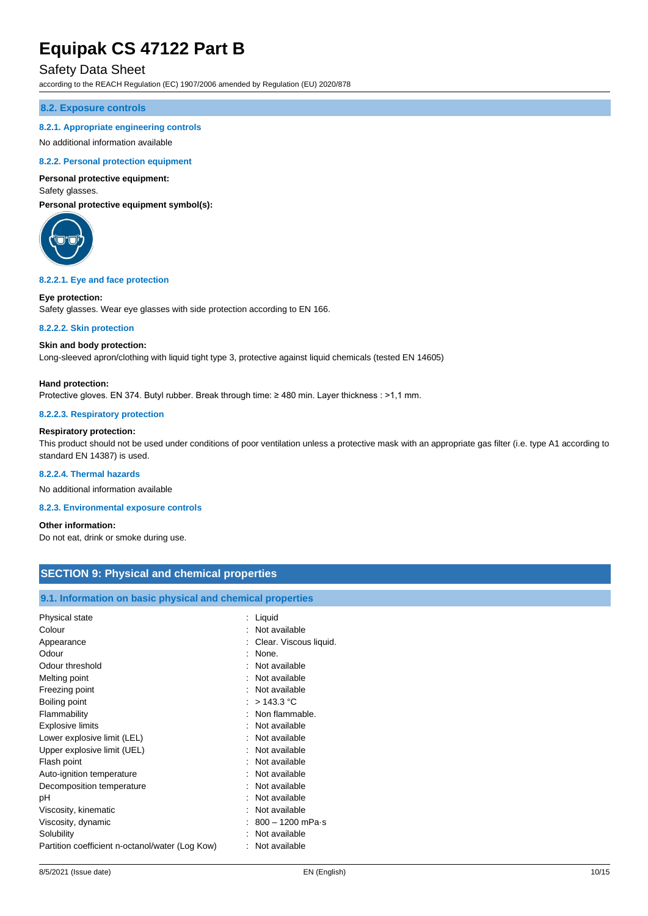### Safety Data Sheet

according to the REACH Regulation (EC) 1907/2006 amended by Regulation (EU) 2020/878

#### **8.2. Exposure controls**

#### **8.2.1. Appropriate engineering controls**

#### No additional information available

#### **8.2.2. Personal protection equipment**

#### **Personal protective equipment:**

#### Safety glasses.

**Personal protective equipment symbol(s):**



#### **8.2.2.1. Eye and face protection**

#### **Eye protection:**

Safety glasses. Wear eye glasses with side protection according to EN 166.

#### **8.2.2.2. Skin protection**

#### **Skin and body protection:**

Long-sleeved apron/clothing with liquid tight type 3, protective against liquid chemicals (tested EN 14605)

#### **Hand protection:**

Protective gloves. EN 374. Butyl rubber. Break through time: ≥ 480 min. Layer thickness : >1,1 mm.

#### **8.2.2.3. Respiratory protection**

### **Respiratory protection:**

This product should not be used under conditions of poor ventilation unless a protective mask with an appropriate gas filter (i.e. type A1 according to standard EN 14387) is used.

#### **8.2.2.4. Thermal hazards**

No additional information available

### **8.2.3. Environmental exposure controls**

**Other information:**

Do not eat, drink or smoke during use.

### **SECTION 9: Physical and chemical properties**

#### **9.1. Information on basic physical and chemical properties**

| Physical state                                  | : Liquid                 |
|-------------------------------------------------|--------------------------|
| Colour                                          | Not available            |
| Appearance                                      | : Clear. Viscous liquid. |
| Odour                                           | None.                    |
| Odour threshold                                 | Not available            |
| Melting point                                   | : Not available          |
| Freezing point                                  | : Not available          |
| Boiling point                                   | : $>$ 143.3 °C           |
| Flammability                                    | : Non flammable.         |
| <b>Explosive limits</b>                         | Not available            |
| Lower explosive limit (LEL)                     | Not available            |
| Upper explosive limit (UEL)                     | : Not available          |
| Flash point                                     | Not available            |
| Auto-ignition temperature                       | : Not available          |
| Decomposition temperature                       | : Not available          |
| рH                                              | Not available            |
| Viscosity, kinematic                            | Not available            |
| Viscosity, dynamic                              | : 800 – 1200 mPa·s       |
| Solubility                                      | Not available            |
| Partition coefficient n-octanol/water (Log Kow) | Not available            |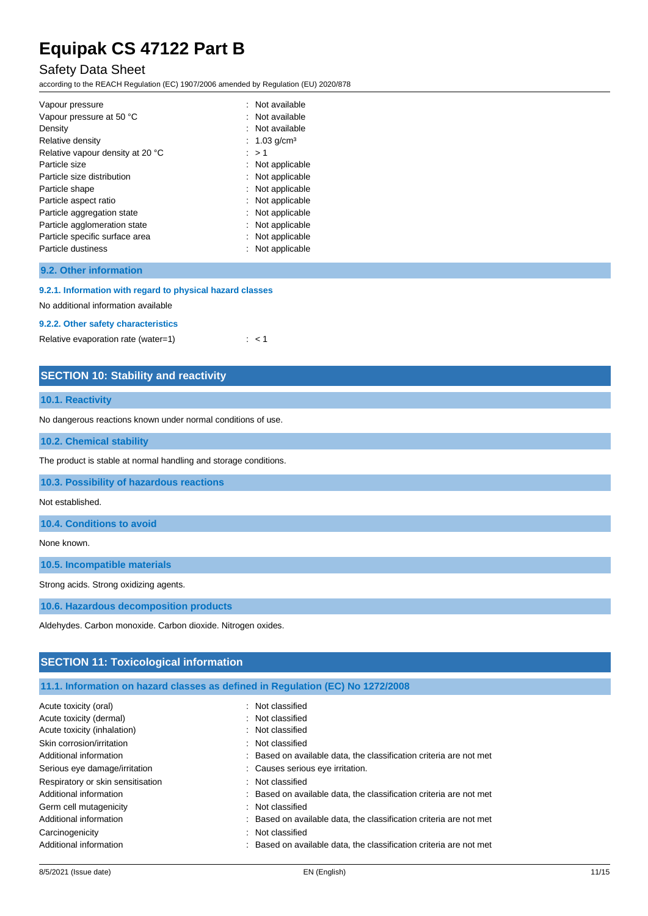### Safety Data Sheet

according to the REACH Regulation (EC) 1907/2006 amended by Regulation (EU) 2020/878

| : Not available  |
|------------------|
| : Not available  |
| : Not available  |
| : 1.03 $q/cm3$   |
| : > 1            |
| : Not applicable |
| : Not applicable |
| : Not applicable |
| : Not applicable |
| : Not applicable |
| : Not applicable |
| : Not applicable |
| Not applicable   |
|                  |

### **9.2. Other information**

#### **9.2.1. Information with regard to physical hazard classes**

No additional information available

#### **9.2.2. Other safety characteristics**

Relative evaporation rate (water=1)  $\therefore$  < 1

### **SECTION 10: Stability and reactivity**

#### **10.1. Reactivity**

No dangerous reactions known under normal conditions of use.

#### **10.2. Chemical stability**

The product is stable at normal handling and storage conditions.

**10.3. Possibility of hazardous reactions**

### Not established.

**10.4. Conditions to avoid**

None known.

**10.5. Incompatible materials**

Strong acids. Strong oxidizing agents.

**10.6. Hazardous decomposition products**

Aldehydes. Carbon monoxide. Carbon dioxide. Nitrogen oxides.

## **SECTION 11: Toxicological information**

|  |  | 11.1. Information on hazard classes as defined in Regulation (EC) No 1272/2008 |  |
|--|--|--------------------------------------------------------------------------------|--|
|--|--|--------------------------------------------------------------------------------|--|

| Acute toxicity (oral)             | : Not classified                                                   |
|-----------------------------------|--------------------------------------------------------------------|
| Acute toxicity (dermal)           | : Not classified                                                   |
| Acute toxicity (inhalation)       | : Not classified                                                   |
| Skin corrosion/irritation         | : Not classified                                                   |
| Additional information            | : Based on available data, the classification criteria are not met |
| Serious eye damage/irritation     | : Causes serious eye irritation.                                   |
| Respiratory or skin sensitisation | : Not classified                                                   |
| Additional information            | : Based on available data, the classification criteria are not met |
| Germ cell mutagenicity            | : Not classified                                                   |
| Additional information            | : Based on available data, the classification criteria are not met |
| Carcinogenicity                   | : Not classified                                                   |
| Additional information            | : Based on available data, the classification criteria are not met |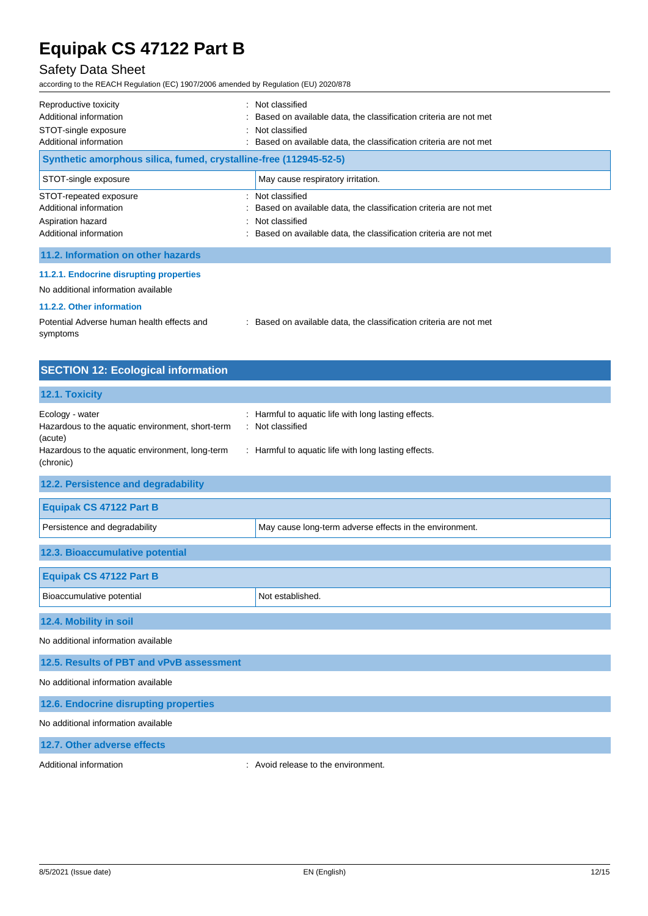## Safety Data Sheet

according to the REACH Regulation (EC) 1907/2006 amended by Regulation (EU) 2020/878

| Reproductive toxicity<br>Additional information<br>STOT-single exposure<br>Additional information<br>Synthetic amorphous silica, fumed, crystalline-free (112945-52-5) | : Not classified<br>: Based on available data, the classification criteria are not met<br>: Not classified<br>Based on available data, the classification criteria are not met |
|------------------------------------------------------------------------------------------------------------------------------------------------------------------------|--------------------------------------------------------------------------------------------------------------------------------------------------------------------------------|
| STOT-single exposure                                                                                                                                                   | May cause respiratory irritation.                                                                                                                                              |
| STOT-repeated exposure<br>Additional information<br>Aspiration hazard<br>Additional information                                                                        | : Not classified<br>Based on available data, the classification criteria are not met<br>: Not classified<br>Based on available data, the classification criteria are not met   |
| 11.2. Information on other hazards                                                                                                                                     |                                                                                                                                                                                |
| 11.2.1. Endocrine disrupting properties<br>No additional information available<br>11.2.2. Other information                                                            |                                                                                                                                                                                |

| Potential Adverse human health effects and | Based on available data, the classification criteria are not met |
|--------------------------------------------|------------------------------------------------------------------|
| symptoms                                   |                                                                  |

| <b>SECTION 12: Ecological information</b>                                                                                                                                  |                                                                                                                              |
|----------------------------------------------------------------------------------------------------------------------------------------------------------------------------|------------------------------------------------------------------------------------------------------------------------------|
| 12.1. Toxicity                                                                                                                                                             |                                                                                                                              |
| Ecology - water<br>Hazardous to the aquatic environment, short-term<br>$\overline{\phantom{a}}$<br>(acute)<br>Hazardous to the aquatic environment, long-term<br>(chronic) | Harmful to aquatic life with long lasting effects.<br>Not classified<br>: Harmful to aquatic life with long lasting effects. |
| 12.2. Persistence and degradability                                                                                                                                        |                                                                                                                              |
| <b>Equipak CS 47122 Part B</b>                                                                                                                                             |                                                                                                                              |
| Persistence and degradability                                                                                                                                              | May cause long-term adverse effects in the environment.                                                                      |
| 12.3. Bioaccumulative potential                                                                                                                                            |                                                                                                                              |
| <b>Equipak CS 47122 Part B</b>                                                                                                                                             |                                                                                                                              |
| Bioaccumulative potential                                                                                                                                                  | Not established.                                                                                                             |
| 12.4. Mobility in soil                                                                                                                                                     |                                                                                                                              |
| No additional information available                                                                                                                                        |                                                                                                                              |
| 12.5. Results of PBT and vPvB assessment                                                                                                                                   |                                                                                                                              |
| No additional information available                                                                                                                                        |                                                                                                                              |
| 12.6. Endocrine disrupting properties                                                                                                                                      |                                                                                                                              |
| No additional information available                                                                                                                                        |                                                                                                                              |
| 12.7. Other adverse effects                                                                                                                                                |                                                                                                                              |

Additional information **interest in the environment** of the environment.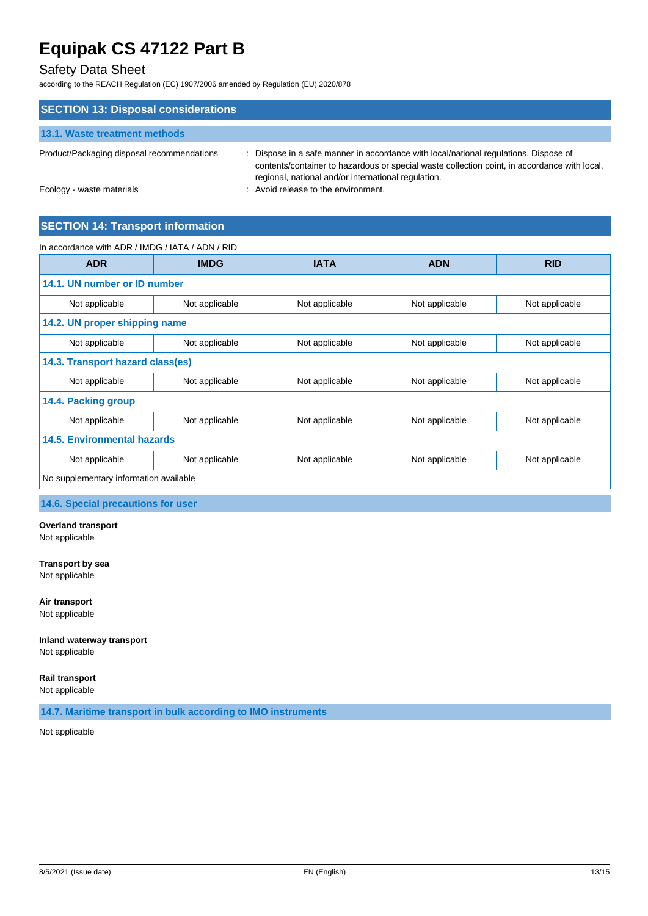## Safety Data Sheet

according to the REACH Regulation (EC) 1907/2006 amended by Regulation (EU) 2020/878

| <b>SECTION 13: Disposal considerations</b> |                                                                                                                                                                                                                                             |
|--------------------------------------------|---------------------------------------------------------------------------------------------------------------------------------------------------------------------------------------------------------------------------------------------|
| 13.1. Waste treatment methods              |                                                                                                                                                                                                                                             |
| Product/Packaging disposal recommendations | : Dispose in a safe manner in accordance with local/national regulations. Dispose of<br>contents/container to hazardous or special waste collection point, in accordance with local,<br>regional, national and/or international regulation. |
| Ecology - waste materials                  | : Avoid release to the environment.                                                                                                                                                                                                         |

### **SECTION 14: Transport information**

| <b>ADR</b>                             | <b>IMDG</b>    | <b>IATA</b>    | <b>ADN</b>     | <b>RID</b>     |
|----------------------------------------|----------------|----------------|----------------|----------------|
| 14.1. UN number or ID number           |                |                |                |                |
| Not applicable                         | Not applicable | Not applicable | Not applicable | Not applicable |
| 14.2. UN proper shipping name          |                |                |                |                |
| Not applicable                         | Not applicable | Not applicable | Not applicable | Not applicable |
| 14.3. Transport hazard class(es)       |                |                |                |                |
| Not applicable                         | Not applicable | Not applicable | Not applicable | Not applicable |
| 14.4. Packing group                    |                |                |                |                |
| Not applicable                         | Not applicable | Not applicable | Not applicable | Not applicable |
| <b>14.5. Environmental hazards</b>     |                |                |                |                |
| Not applicable                         | Not applicable | Not applicable | Not applicable | Not applicable |
| No supplementary information available |                |                |                |                |

**14.6. Special precautions for user**

**Overland transport**

Not applicable

**Transport by sea**

Not applicable

**Air transport**

Not applicable

**Inland waterway transport** Not applicable

**Rail transport** Not applicable

**14.7. Maritime transport in bulk according to IMO instruments**

Not applicable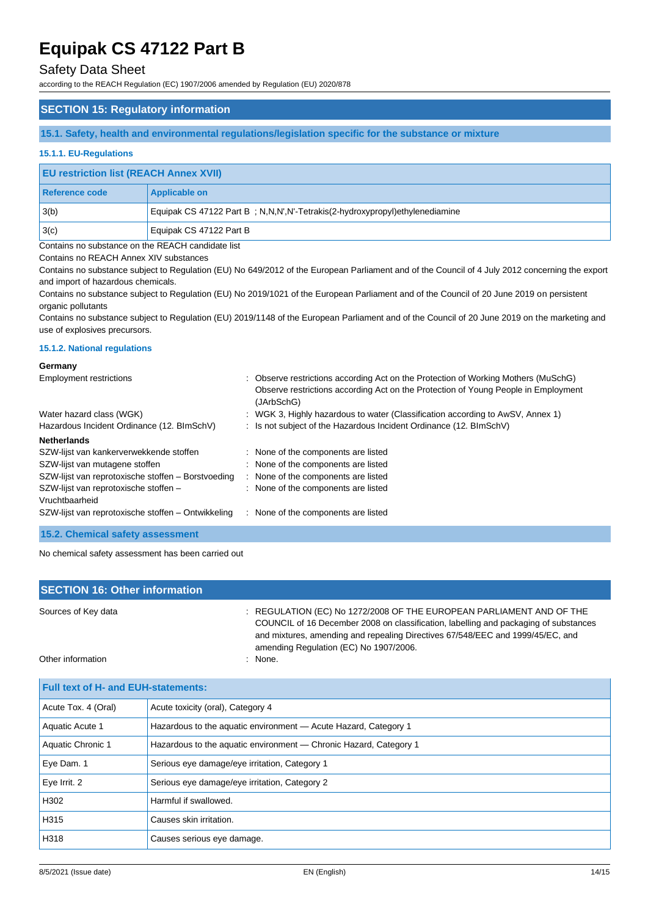### Safety Data Sheet

according to the REACH Regulation (EC) 1907/2006 amended by Regulation (EU) 2020/878

### **SECTION 15: Regulatory information**

**15.1. Safety, health and environmental regulations/legislation specific for the substance or mixture**

#### **15.1.1. EU-Regulations**

| <b>EU restriction list (REACH Annex XVII)</b> |                                                                             |  |
|-----------------------------------------------|-----------------------------------------------------------------------------|--|
| Reference code                                | <b>Applicable on</b>                                                        |  |
| 3(b)                                          | Equipak CS 47122 Part B; N,N,N',N'-Tetrakis(2-hydroxypropyl)ethylenediamine |  |
| 3(c)                                          | Equipak CS 47122 Part B                                                     |  |

Contains no substance on the REACH candidate list

Contains no REACH Annex XIV substances

Contains no substance subject to Regulation (EU) No 649/2012 of the European Parliament and of the Council of 4 July 2012 concerning the export and import of hazardous chemicals.

Contains no substance subject to Regulation (EU) No 2019/1021 of the European Parliament and of the Council of 20 June 2019 on persistent organic pollutants

Contains no substance subject to Regulation (EU) 2019/1148 of the European Parliament and of the Council of 20 June 2019 on the marketing and use of explosives precursors.

#### **15.1.2. National regulations**

#### **Germany**

| <b>Employment restrictions</b>                     | : Observe restrictions according Act on the Protection of Working Mothers (MuSchG)<br>Observe restrictions according Act on the Protection of Young People in Employment<br>(JArbSchG) |
|----------------------------------------------------|----------------------------------------------------------------------------------------------------------------------------------------------------------------------------------------|
| Water hazard class (WGK)                           | : WGK 3, Highly hazardous to water (Classification according to AwSV, Annex 1)                                                                                                         |
| Hazardous Incident Ordinance (12. BImSchV)         | : Is not subject of the Hazardous Incident Ordinance (12. BImSchV)                                                                                                                     |
| <b>Netherlands</b>                                 |                                                                                                                                                                                        |
| SZW-lijst van kankerverwekkende stoffen            | : None of the components are listed                                                                                                                                                    |
| SZW-lijst van mutagene stoffen                     | : None of the components are listed                                                                                                                                                    |
| SZW-lijst van reprotoxische stoffen - Borstvoeding | : None of the components are listed                                                                                                                                                    |
| SZW-lijst van reprotoxische stoffen -              | : None of the components are listed                                                                                                                                                    |
| Vruchtbaarheid                                     |                                                                                                                                                                                        |
| SZW-lijst van reprotoxische stoffen – Ontwikkeling | : None of the components are listed                                                                                                                                                    |
| $\mathbf{A} = \mathbf{A} \mathbf{A}$               |                                                                                                                                                                                        |

**15.2. Chemical safety assessment**

No chemical safety assessment has been carried out

| <b>SECTION 16: Other information</b>       |                                                                                                                                                                                                                                                                                          |  |  |  |
|--------------------------------------------|------------------------------------------------------------------------------------------------------------------------------------------------------------------------------------------------------------------------------------------------------------------------------------------|--|--|--|
| Sources of Key data                        | : REGULATION (EC) No 1272/2008 OF THE EUROPEAN PARLIAMENT AND OF THE<br>COUNCIL of 16 December 2008 on classification, labelling and packaging of substances<br>and mixtures, amending and repealing Directives 67/548/EEC and 1999/45/EC, and<br>amending Regulation (EC) No 1907/2006. |  |  |  |
| Other information                          | : None.                                                                                                                                                                                                                                                                                  |  |  |  |
| <b>Full text of H- and EUH-statements:</b> |                                                                                                                                                                                                                                                                                          |  |  |  |
| Acute Tox. 4 (Oral)                        | Acute toxicity (oral), Category 4                                                                                                                                                                                                                                                        |  |  |  |

| Aquatic Acute 1   | Hazardous to the aquatic environment - Acute Hazard, Category 1   |  |
|-------------------|-------------------------------------------------------------------|--|
| Aquatic Chronic 1 | Hazardous to the aquatic environment — Chronic Hazard, Category 1 |  |
| Eye Dam. 1        | Serious eye damage/eye irritation, Category 1                     |  |
| Eye Irrit. 2      | Serious eye damage/eye irritation, Category 2                     |  |
| H302              | Harmful if swallowed.                                             |  |
| H315              | Causes skin irritation.                                           |  |
| H318              | Causes serious eye damage.                                        |  |